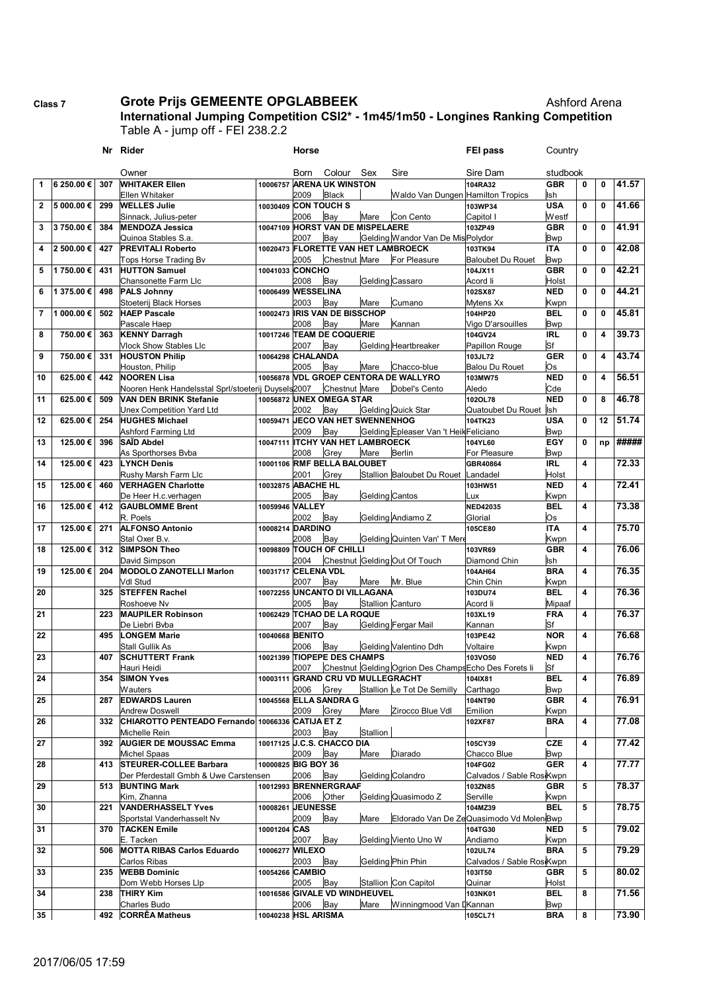## **Class 7 Grote Prijs GEMEENTE OPGLABBEEK Ashford Arena**

**International Jumping Competition CSI2\* - 1m45/1m50 - Longines Ranking Competition** Table A - jump off - FEI 238.2.2

|                |            |     | Nr Rider                                                                            |                     | Horse                 |                                                  |                  |                                                       | <b>FEI pass</b>                         | Country             |             |                         |       |
|----------------|------------|-----|-------------------------------------------------------------------------------------|---------------------|-----------------------|--------------------------------------------------|------------------|-------------------------------------------------------|-----------------------------------------|---------------------|-------------|-------------------------|-------|
|                |            |     | Owner                                                                               |                     | Born                  | Colour                                           | Sex              | Sire                                                  | Sire Dam                                | studbook            |             |                         |       |
| 1              | 6 250.00€  | 307 | <b>WHITAKER Ellen</b>                                                               | 10006757            |                       | <b>ARENA UK WINSTON</b>                          |                  |                                                       | 104RA32                                 | <b>GBR</b>          | 0           | 0                       | 41.57 |
|                |            |     | Ellen Whitaker                                                                      |                     | 2009                  | <b>Black</b>                                     |                  | Waldo Van Dungen Hamilton Tropics                     |                                         | Ish                 |             |                         |       |
| $\mathbf{2}$   | 5 000.00 € | 299 | <b>WELLES Julie</b>                                                                 | 10030409            | <b>CON TOUCH S</b>    |                                                  |                  |                                                       | 103WP34                                 | <b>USA</b>          | 0           | $\mathbf 0$             | 41.66 |
|                |            |     | Sinnack, Julius-peter                                                               |                     | 2006                  | Bay                                              | Mare             | Con Cento                                             | Capitol I                               | Westf               |             |                         |       |
| 3              | 3750.00€   | 384 | <b>MENDOZA Jessica</b>                                                              |                     |                       | 10047109 HORST VAN DE MISPELAERE                 |                  |                                                       | 103ZP49                                 | <b>GBR</b>          | 0           | $\mathbf 0$             | 41.91 |
|                |            |     | Quinoa Stables S.a.                                                                 |                     | 2007                  | Bay                                              |                  | Gelding Wandor Van De Mis Polydor                     |                                         | <b>Bwp</b>          |             |                         |       |
| 4              | 2 500.00 € | 427 | <b>PREVITALI Roberto</b>                                                            |                     |                       |                                                  |                  | 10020473 FLORETTE VAN HET LAMBROECK                   | 103TK94                                 | <b>ITA</b>          | $\mathbf 0$ | $\mathbf 0$             | 42.08 |
|                |            |     | Tops Horse Trading Bv                                                               |                     | 2005                  | Chestnut Mare                                    |                  | For Pleasure                                          | <b>Baloubet Du Rouet</b>                | <b>Bwp</b>          |             |                         |       |
| 5              | 1 750.00 € | 431 | <b>HUTTON Samuel</b>                                                                | 10041033 CONCHO     | 2008                  | Bay                                              | Gelding Cassaro  |                                                       | 104JX11<br>Acord li                     | <b>GBR</b><br>Holst | $\mathbf 0$ | $\mathbf 0$             | 42.21 |
| 6              | 1 375.00 € | 498 | Chansonette Farm Llc<br><b>PALS Johnny</b>                                          | 10006499            | <b>WESSELINA</b>      |                                                  |                  |                                                       | 102SX87                                 | <b>NED</b>          | 0           | $\mathbf 0$             | 44.21 |
|                |            |     | Stoeterij Black Horses                                                              |                     | 2003                  | Bay                                              | Mare             | Cumano                                                | Mytens Xx                               | Kwpn                |             |                         |       |
| $\overline{7}$ | 1 000.00€  | 502 | <b>HAEP Pascale</b>                                                                 |                     |                       | 10002473 IRIS VAN DE BISSCHOP                    |                  |                                                       | 104HP20                                 | <b>BEL</b>          | 0           | $\mathbf 0$             | 45.81 |
|                |            |     | Pascale Haep                                                                        |                     | 2008                  | Bay                                              | Mare             | Kannan                                                | Vigo D'arsouilles                       | <b>Bwp</b>          |             |                         |       |
| 8              | 750.00€    | 363 | <b>KENNY Darragh</b>                                                                |                     |                       | 10017246 TEAM DE COQUERIE                        |                  |                                                       | 104GV24                                 | <b>IRL</b>          | 0           | $\overline{\mathbf{4}}$ | 39.73 |
|                |            |     | <b>Vlock Show Stables Llc</b>                                                       |                     | 2007                  | Bay                                              |                  | <b>Gelding Heartbreaker</b>                           | Papillon Rouge                          | Sf                  |             |                         |       |
| 9              | 750.00€    | 331 | <b>HOUSTON Philip</b>                                                               | 10064298            | <b>CHALANDA</b>       |                                                  |                  |                                                       | 103JL72                                 | <b>GER</b>          | $\mathbf 0$ | $\overline{\mathbf{4}}$ | 43.74 |
|                |            |     | Houston, Philip                                                                     |                     | 2005                  | Bay                                              | Mare             | Chacco-blue                                           | <b>Balou Du Rouet</b>                   | Os                  |             |                         |       |
| 10             | 625.00€    | 442 | <b>NOOREN Lisa</b>                                                                  | 10056878            |                       |                                                  |                  | <b>VDL GROEP CENTORA DE WALLYRO</b>                   | 103MW75                                 | <b>NED</b>          | 0           | $\overline{\mathbf{4}}$ | 56.51 |
| 11             | 625.00€    | 509 | Nooren Henk Handelsstal Sprl/stoeterij Duysels2007<br><b>VAN DEN BRINK Stefanie</b> |                     |                       | <b>Chestnut Mare</b><br>10056872 UNEX OMEGA STAR |                  | Dobel's Cento                                         | Aledo<br>102OL78                        | Cde<br><b>NED</b>   | $\mathbf 0$ | 8                       | 46.78 |
|                |            |     | Unex Competition Yard Ltd                                                           |                     | 2002                  | Bay                                              |                  | <b>Gelding Quick Star</b>                             | Quatoubet Du Rouet Ish                  |                     |             |                         |       |
| 12             | 625.00€    | 254 | <b>HUGHES Michael</b>                                                               | 10059471            |                       | <b>JECO VAN HET SWENNENHOG</b>                   |                  |                                                       | 104TK23                                 | <b>USA</b>          | 0           | 12                      | 51.74 |
|                |            |     | Ashford Farming Ltd                                                                 |                     | 2009                  | Bay                                              |                  | Gelding Epleaser Van 't HeikFeliciano                 |                                         | <b>Bwp</b>          |             |                         |       |
| 13             | 125.00€    | 396 | SAÏD Abdel                                                                          | 10047111            |                       | <b>ITCHY VAN HET LAMBROECK</b>                   |                  |                                                       | 104YL60                                 | EGY                 | $\mathbf 0$ | np                      | ##### |
|                |            |     | As Sporthorses Byba                                                                 |                     | 2008                  | Grey                                             | Mare             | <b>Berlin</b>                                         | For Pleasure                            | <b>Bwp</b>          |             |                         |       |
| 14             | 125.00€    | 423 | <b>LYNCH Denis</b>                                                                  |                     |                       | 10001106 RMF BELLA BALOUBET                      |                  |                                                       | GBR40864                                | <b>IRL</b>          | 4           |                         | 72.33 |
|                |            |     | Rushy Marsh Farm Llc                                                                |                     | 2001                  | Grey                                             |                  | Stallion Baloubet Du Rouet                            | Landadel                                | Holst               |             |                         |       |
| 15             | 125.00€    | 460 | <b>VERHAGEN Charlotte</b>                                                           | 10032875            | <b>ABACHE HL</b>      |                                                  |                  |                                                       | 103HW51                                 | <b>NED</b>          | 4           |                         | 72.41 |
|                |            |     | De Heer H.c.verhagen                                                                |                     | 2005                  | Bay                                              | Gelding Cantos   |                                                       | Lux                                     | Kwpn                |             |                         |       |
| 16             | 125.00€    | 412 | <b>GAUBLOMME Brent</b>                                                              | 10059946            | <b>VALLEY</b><br>2002 |                                                  |                  |                                                       | <b>NED42035</b>                         | <b>BEL</b>          | 4           |                         | 73.38 |
| 17             | 125.00€    | 271 | R. Poels<br><b>ALFONSO Antonio</b>                                                  | 10008214            | <b>DARDINO</b>        | Bay                                              |                  | Gelding Andiamo Z                                     | Glorial<br>105CE80                      | Os<br><b>ITA</b>    | 4           |                         | 75.70 |
|                |            |     | Stal Oxer B.v.                                                                      |                     | 2008                  | Bay                                              |                  | Gelding Quinten Van' T Mere                           |                                         | Kwpn                |             |                         |       |
| 18             | 125.00 €   | 312 | <b>SIMPSON Theo</b>                                                                 | 10098809            |                       | <b>TOUCH OF CHILLI</b>                           |                  |                                                       | 103VR69                                 | <b>GBR</b>          | 4           |                         | 76.06 |
|                |            |     | David Simpson                                                                       |                     | 2004                  |                                                  |                  | Chestnut Gelding Out Of Touch                         | Diamond Chin                            | Ish                 |             |                         |       |
| 19             | 125.00€    | 204 | <b>MODOLO ZANOTELLI Marlon</b>                                                      | 10031717            | <b>CELENA VDL</b>     |                                                  |                  |                                                       | 104AH64                                 | <b>BRA</b>          | 4           |                         | 76.35 |
|                |            |     | Vdl Stud                                                                            |                     | 2007                  | Bay                                              | Mare             | Mr. Blue                                              | Chin Chin                               | Kwpn                |             |                         |       |
| 20             |            | 325 | <b>STEFFEN Rachel</b>                                                               |                     |                       | 10072255 UNCANTO DI VILLAGANA                    |                  |                                                       | 103DU74                                 | <b>BEL</b>          | 4           |                         | 76.36 |
|                |            |     | Roshoeve Nv                                                                         |                     | 2005                  | Bay                                              | Stallion Canturo |                                                       | Acord li                                | Mipaaf              |             |                         |       |
| 21             |            | 223 | <b>MAUPILER Robinson</b>                                                            | 10062429            |                       | <b>TCHAO DE LA ROQUE</b><br>Bay                  |                  | Gelding Fergar Mail                                   | 103XL19                                 | <b>FRA</b><br>Sf    | 4           |                         | 76.37 |
| 22             |            | 495 | De Liebri Bvba<br><b>LONGEM Marie</b>                                               | 10040668            | 2007<br><b>BENITO</b> |                                                  |                  |                                                       | Kannan<br>103PE42                       | <b>NOR</b>          | 4           |                         | 76.68 |
|                |            |     | Stall Gullik As                                                                     |                     | 2006                  | Bay                                              |                  | Gelding Valentino Ddh                                 | Voltaire                                | Kwpn                |             |                         |       |
| 23             |            | 407 | <b>SCHUTTERT Frank</b>                                                              | 10021399            |                       | <b>TIOPEPE DES CHAMPS</b>                        |                  |                                                       | 103VO50                                 | <b>NED</b>          | 4           |                         | 76.76 |
|                |            |     | Hauri Heidi                                                                         |                     | 2007                  |                                                  |                  | Chestnut Gelding Ogrion Des Champs Echo Des Forets li |                                         | Sf                  |             |                         |       |
| 24             |            | 354 | <b>SIMON Yves</b>                                                                   |                     |                       | 10003111 GRAND CRU VD MULLEGRACHT                |                  |                                                       | 104IX81                                 | <b>BEL</b>          | 4           |                         | 76.89 |
|                |            |     | Wauters                                                                             |                     | 2006                  | Grey                                             |                  | Stallion Le Tot De Semilly                            | Carthago                                | <b>Bwp</b>          |             |                         |       |
| 25             |            | 287 | <b>EDWARDS Lauren</b>                                                               |                     |                       | 10045568 ELLA SANDRA G                           |                  |                                                       | 104NT90                                 | <b>GBR</b>          | 4           |                         | 76.91 |
|                |            |     | <b>Andrew Doswell</b>                                                               |                     | 2009                  | Grey                                             | Mare             | Zirocco Blue Vdl                                      | Emilion                                 | Kwpn                |             |                         |       |
| 26             |            | 332 | CHIAROTTO PENTEADO Fernando 10066336 CATIJA ET Z                                    |                     | 2003                  | Bay                                              | Stallion         |                                                       | 102XF87                                 | <b>BRA</b>          | 4           |                         | 77.08 |
| 27             |            | 392 | Michelle Rein<br><b>AUGIER DE MOUSSAC Emma</b>                                      |                     |                       | 10017125 J.C.S. CHACCO DIA                       |                  |                                                       | 105CY39                                 | <b>CZE</b>          | 4           |                         | 77.42 |
|                |            |     | <b>Michel Spaas</b>                                                                 |                     | 2009                  | Bay                                              | Mare             | Diarado                                               | Chacco Blue                             | <b>Bwp</b>          |             |                         |       |
| 28             |            | 413 | <b>STEURER-COLLEE Barbara</b>                                                       | 10000825 BIG BOY 36 |                       |                                                  |                  |                                                       | 104FG02                                 | <b>GER</b>          | 4           |                         | 77.77 |
|                |            |     | Der Pferdestall Gmbh & Uwe Carstensen                                               |                     | 2006                  | Bay                                              |                  | Gelding Colandro                                      | Calvados / Sable RosiKwpn               |                     |             |                         |       |
| 29             |            | 513 | <b>BUNTING Mark</b>                                                                 |                     |                       | 10012993 BRENNERGRAAF                            |                  |                                                       | 103ZN85                                 | <b>GBR</b>          | 5           |                         | 78.37 |
|                |            |     | Kim, Zhanna                                                                         |                     | 2006                  | Other                                            |                  | Gelding Quasimodo Z                                   | Serville                                | Kwpn                |             |                         |       |
| 30             |            | 221 | <b>VANDERHASSELT Yves</b>                                                           | 10008261            | <b>JEUNESSE</b>       |                                                  |                  |                                                       | 104MZ39                                 | <b>BEL</b>          | 5           |                         | 78.75 |
|                |            |     | Sportstal Vanderhasselt Nv                                                          |                     | 2009                  | Bay                                              | Mare             |                                                       | Eldorado Van De ZeQuasimodo Vd MolenBwp |                     |             |                         |       |
| 31             |            | 370 | <b>TACKEN Emile</b>                                                                 | 10001204 CAS        |                       | Bay                                              |                  | Gelding Viento Uno W                                  | 104TG30                                 | <b>NED</b>          | 5           |                         | 79.02 |
| 32             |            | 506 | E. Tacken<br><b>MOTTA RIBAS Carlos Eduardo</b>                                      | 10006277            | 2007<br><b>WILEXO</b> |                                                  |                  |                                                       | Andiamo<br>102UL74                      | Kwpn<br><b>BRA</b>  | 5           |                         | 79.29 |
|                |            |     | Carlos Ribas                                                                        |                     | 2003                  | Bay                                              |                  | Gelding Phin Phin                                     | Calvados / Sable Ros Kwpn               |                     |             |                         |       |
| 33             |            | 235 | <b>WEBB Dominic</b>                                                                 | 10054266 CAMBIO     |                       |                                                  |                  |                                                       | 103IT50                                 | <b>GBR</b>          | 5           |                         | 80.02 |
|                |            |     | Dom Webb Horses Lip                                                                 |                     | 2005                  | Bay                                              |                  | Stallion Con Capitol                                  | Quinar                                  | Holst               |             |                         |       |
| 34             |            | 238 | <b>THIRY Kim</b>                                                                    |                     |                       | 10016586 GIVALE VD WINDHEUVEL                    |                  |                                                       | 103NK01                                 | <b>BEL</b>          | 8           |                         | 71.56 |
|                |            |     | Charles Budo                                                                        |                     | 2006                  | Bay                                              | Mare             | Winningmood Van DKannan                               |                                         | <b>Bwp</b>          |             |                         |       |
| 35             |            | 492 | <b>CORRÊA Matheus</b>                                                               | 10040238 HSL ARISMA |                       |                                                  |                  |                                                       | 105CL71                                 | <b>BRA</b>          | 8           |                         | 73.90 |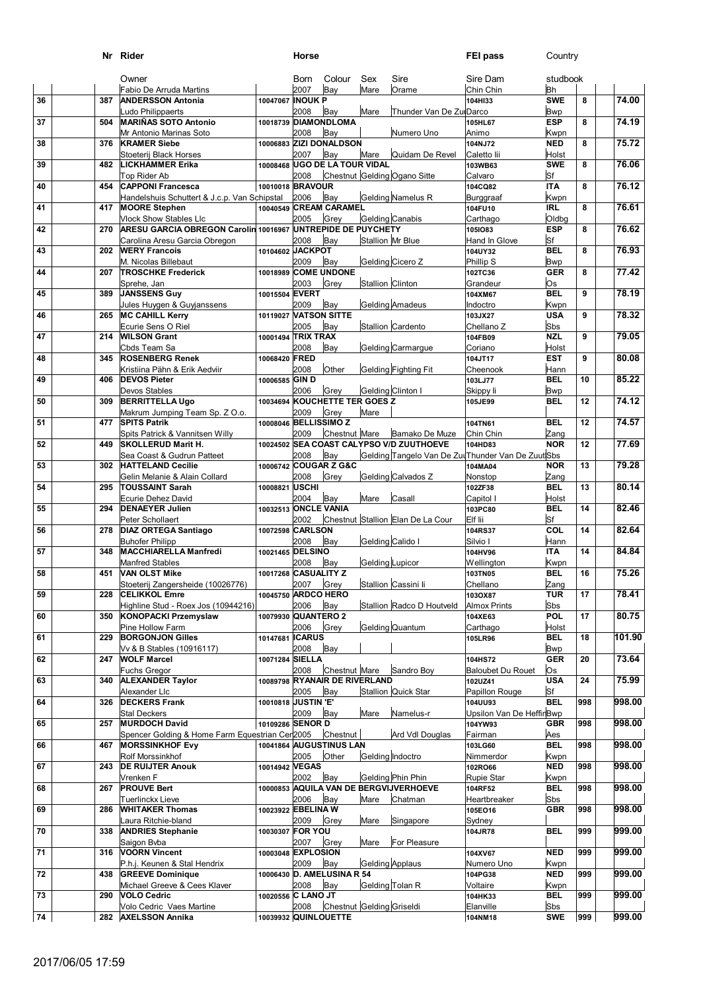|    |     | Nr Rider                                                                                     |                       | Horse          |                                   |                          |                                          | FEI pass                                                    | Country                 |     |        |
|----|-----|----------------------------------------------------------------------------------------------|-----------------------|----------------|-----------------------------------|--------------------------|------------------------------------------|-------------------------------------------------------------|-------------------------|-----|--------|
|    |     | Owner                                                                                        |                       | <b>Born</b>    | Colour                            | Sex                      | Sire                                     | Sire Dam                                                    | studbook                |     |        |
| 36 | 387 | Fabio De Arruda Martins<br><b>ANDERSSON Antonia</b>                                          | 10047067 INOUK P      | 2007           | Bay                               | Mare                     | Orame                                    | Chin Chin<br>104HI33                                        | <b>Bh</b><br><b>SWE</b> | 8   | 74.00  |
|    |     | Ludo Philippaerts                                                                            |                       | 2008           | Bay                               | Mare                     | Thunder Van De ZuiDarco                  |                                                             | <b>Bwp</b>              |     |        |
| 37 | 504 | <b>MARIÑAS SOTO Antonio</b>                                                                  | 10018739 DIAMONDLOMA  |                |                                   |                          |                                          | 105HL67                                                     | <b>ESP</b>              | 8   | 74.19  |
|    |     | Mr Antonio Marinas Soto                                                                      |                       | 2008           | Bay                               |                          | Numero Uno                               | Animo                                                       | Kwpn                    |     |        |
| 38 | 376 | <b>KRAMER Siebe</b><br>Stoeterij Black Horses                                                |                       | 2007           | 10006883 ZIZI DONALDSON<br>Bay    | Mare                     | Quidam De Revel                          | 104NJ72<br>Caletto lii                                      | <b>NED</b><br>Holst     | 8   | 75.72  |
| 39 | 482 | LICKHAMMER Erika                                                                             |                       |                | 10008468 UGO DE LA TOUR VIDAL     |                          |                                          | 103WB63                                                     | <b>SWE</b>              | 8   | 76.06  |
|    |     | Top Rider Ab                                                                                 |                       | 2008           |                                   |                          | Chestnut Gelding Ogano Sitte             | Calvaro                                                     | Sf                      |     |        |
| 40 | 454 | <b>CAPPONI Francesca</b><br>Handelshuis Schuttert & J.c.p. Van Schipstal                     | 10010018 BRAVOUR      | 2006           | Bay                               |                          | Gelding Namelus R                        | 104CQ82<br>Burggraaf                                        | <b>ITA</b><br>Kwpn      | 8   | 76.12  |
| 41 | 417 | <b>MOORE Stephen</b>                                                                         |                       |                | 10040549 CREAM CARAMEL            |                          |                                          | 104FU10                                                     | <b>IRL</b>              | 8   | 76.61  |
|    |     | <b>Vlock Show Stables Lic</b>                                                                |                       | 2005           | Grey                              | Gelding Canabis          |                                          | Carthago                                                    | <b>Oldbg</b>            |     |        |
| 42 | 270 | ARESU GARCIA OBREGON Carolin 10016967 UNTREPIDE DE PUYCHETY<br>Carolina Aresu Garcia Obregon |                       | 2008           | Bay                               | <b>Stallion Mr Blue</b>  |                                          | 1051083<br>Hand In Glove                                    | <b>ESP</b><br>Sf        | 8   | 76.62  |
| 43 | 202 | <b>WERY Francois</b>                                                                         | 10104602              | <b>JACKPOT</b> |                                   |                          |                                          | 104UY32                                                     | <b>BEL</b>              | 8   | 76.93  |
|    |     | M. Nicolas Billebaut                                                                         |                       | 2009           | Bay                               |                          | Gelding Cicero Z                         | Phillip S                                                   | <b>Bwp</b>              |     |        |
| 44 | 207 | <b>TROSCHKE Frederick</b><br>Sprehe, Jan                                                     | 10018989              | 2003           | <b>COME UNDONE</b><br>Grey        | <b>Stallion Clinton</b>  |                                          | 102TC36<br>Grandeur                                         | <b>GER</b><br>Os        | 8   | 77.42  |
| 45 | 389 | <b>JANSSENS Guy</b>                                                                          | 10015504 EVERT        |                |                                   |                          |                                          | 104XM67                                                     | <b>BEL</b>              | 9   | 78.19  |
|    |     | Jules Huygen & Guyjanssens                                                                   |                       | 2009           | Bay                               |                          | <b>Gelding Amadeus</b>                   | Indoctro                                                    | Kwpn                    |     |        |
| 46 | 265 | <b>MC CAHILL Kerry</b><br>Ecurie Sens O Riel                                                 | 10119027              | 2005           | <b>VATSON SITTE</b><br>Bay        |                          | Stallion Cardento                        | 103JX27<br>Chellano Z                                       | <b>USA</b><br>Sbs       | 9   | 78.32  |
| 47 | 214 | <b>WILSON Grant</b>                                                                          | 10001494 TRIX TRAX    |                |                                   |                          |                                          | 104FB09                                                     | <b>NZL</b>              | 9   | 79.05  |
|    |     | Cbds Team Sa                                                                                 |                       | 2008           | Bay                               |                          | Gelding Carmargue                        | Coriano                                                     | Holst                   |     |        |
| 48 | 345 | <b>ROSENBERG Renek</b>                                                                       | 10068420 FRED         | 2008           | Other                             |                          | Gelding Fighting Fit                     | 104JT17<br>Cheenook                                         | <b>EST</b>              | 9   | 80.08  |
| 49 | 406 | Kristiina Pähn & Erik Aedviir<br><b>DEVOS Pieter</b>                                         | 10006585              | <b>GIND</b>    |                                   |                          |                                          | 103LJ77                                                     | Hann<br><b>BEL</b>      | 10  | 85.22  |
|    |     | Devos Stables                                                                                |                       | 2006           | Grey                              | <b>Gelding Clinton I</b> |                                          | Skippy li                                                   | <b>Bwp</b>              |     |        |
| 50 | 309 | <b>BERRITTELLA Ugo</b>                                                                       |                       |                | 10034694 KOUCHETTE TER GOES Z     |                          |                                          | 105JE99                                                     | <b>BEL</b>              | 12  | 74.12  |
| 51 | 477 | Makrum Jumping Team Sp. Z O.o.<br><b>SPITS Patrik</b>                                        | 10008046 BELLISSIMO Z | 2009           | Grey                              | Mare                     |                                          | 104TN61                                                     | <b>BEL</b>              | 12  | 74.57  |
|    |     | Spits Patrick & Vannitsen Willy                                                              |                       | 2009           | Chestnut Mare                     |                          | Bamako De Muze                           | Chin Chin                                                   | Zang                    |     |        |
| 52 | 449 | <b>SKOLLERUD Marit H.</b>                                                                    |                       |                |                                   |                          | 10024502 SEA COAST CALYPSO V/D ZUUTHOEVE | 104HD83                                                     | <b>NOR</b>              | 12  | 77.69  |
| 53 | 302 | Sea Coast & Gudrun Patteet<br><b>HATTELAND Cecilie</b>                                       |                       | 2008           | Bay<br>10006742 COUGAR Z G&C      |                          |                                          | Gelding Tangelo Van De ZulThunder Van De ZuutSbs<br>104MA04 | <b>NOR</b>              | 13  | 79.28  |
|    |     | Gelin Melanie & Alain Collard                                                                |                       | 2008           | Grey                              |                          | Gelding Calvados Z                       | Nonstop                                                     | Zang                    |     |        |
| 54 | 295 | <b>TOUSSAINT Sarah</b>                                                                       | 10008821              | <b>USCHI</b>   |                                   |                          |                                          | 102ZF38                                                     | <b>BEL</b>              | 13  | 80.14  |
| 55 | 294 | Ecurie Dehez David<br>DENAEYER Julien                                                        | 10032513 ONCLE VANIA  | 2004           | Bay                               | Mare                     | Casall                                   | Capitol I<br>103PC80                                        | Holst<br><b>BEL</b>     | 14  | 82.46  |
|    |     | Peter Schollaert                                                                             |                       | 2002           |                                   |                          | Chestnut Stallion Elan De La Cour        | Elf lii                                                     | Sf                      |     |        |
| 56 | 278 | <b>DIAZ ORTEGA Santiago</b>                                                                  | 10072598 CARLSON      |                |                                   |                          |                                          | 104RS37                                                     | COL                     | 14  | 82.64  |
| 57 | 348 | <b>Buhofer Philipp</b><br><b>MACCHIARELLA Manfredi</b>                                       | 10021465 DELSINO      | 2008           | Bay                               | Gelding Calido I         |                                          | Silvio I<br>104HV96                                         | Hann<br><b>ITA</b>      | 14  | 84.84  |
|    |     | <b>Manfred Stables</b>                                                                       |                       | 2008           | Bay                               | <b>Gelding Lupicor</b>   |                                          | Wellington                                                  | Kwpn                    |     |        |
| 58 | 451 | <b>VAN OLST Mike</b>                                                                         | 10017268 CASUALITY Z  |                |                                   |                          |                                          | 103TN05                                                     | <b>BEL</b>              | 16  | 75.26  |
| 59 | 228 | Stoeterij Zangersheide (10026776)<br><b>CELIKKOL Emre</b>                                    | 10045750 ARDCO HERO   | 2007           | Grey                              |                          | Stallion Cassini li                      | Chellano<br>103OX87                                         | Zang<br><b>TUR</b>      | 17  | 78.41  |
|    |     | Highline Stud - Roex Jos (10944216)                                                          |                       | 2006           | Bay                               |                          | Stallion Radco D Houtveld                | <b>Almox Prints</b>                                         | Sbs                     |     |        |
| 60 | 350 | <b>KONOPACKI Przemyslaw</b>                                                                  | 10079930 QUANTERO 2   | 2006           | Grey                              |                          | Gelding Quantum                          | 104XE63<br>Carthago                                         | <b>POL</b><br>Holst     | 17  | 80.75  |
| 61 | 229 | Pine Hollow Farm<br><b>BORGONJON Gilles</b>                                                  | 10147681 ICARUS       |                |                                   |                          |                                          | 105LR96                                                     | <b>BEL</b>              | 18  | 101.90 |
|    |     | Vv & B Stables (10916117)                                                                    |                       | 2008           | Bay                               |                          |                                          |                                                             | <b>Bwp</b>              |     |        |
| 62 | 247 | <b>WOLF Marcel</b><br><b>Fuchs Gregor</b>                                                    | 10071284 SIELLA       | 2008           | Chestnut Mare                     |                          | Sandro Boy                               | 104HS72<br><b>Baloubet Du Rouet</b>                         | <b>GER</b><br>Os        | 20  | 73.64  |
| 63 | 340 | <b>ALEXANDER Taylor</b>                                                                      |                       |                | 10089798 RYANAIR DE RIVERLAND     |                          |                                          | 102UZ41                                                     | <b>USA</b>              | 24  | 75.99  |
|    |     | Alexander Llc                                                                                |                       | 2005           | Bay                               |                          | <b>Stallion Quick Star</b>               | Papillon Rouge                                              | Sf                      |     |        |
| 64 | 326 | <b>DECKERS Frank</b><br><b>Stal Deckers</b>                                                  | 10010818 JUSTIN 'E'   | 2009           | Bay                               | Mare                     | Namelus-r                                | 104UU93<br>Upsilon Van De HeffirBwp                         | <b>BEL</b>              | 998 | 998.00 |
| 65 | 257 | <b>MURDOCH David</b>                                                                         | 10109286 SENOR D      |                |                                   |                          |                                          | 104YW93                                                     | <b>GBR</b>              | 998 | 998.00 |
|    |     | Spencer Golding & Home Farm Equestrian Cer2005                                               |                       |                | Chestnut                          |                          | Ard Vdl Douglas                          | Fairman                                                     | Aes                     |     |        |
| 66 | 467 | <b>MORSSINKHOF Evy</b><br>Rolf Morssinkhof                                                   |                       | 2005           | 10041864 AUGUSTINUS LAN<br>Other  | Gelding Indoctro         |                                          | 103LG60<br>Nimmerdor                                        | <b>BEL</b><br>Kwpn      | 998 | 998.00 |
| 67 | 243 | <b>DE RUIJTER Anouk</b>                                                                      | 10014942 VEGAS        |                |                                   |                          |                                          | 102RO66                                                     | <b>NED</b>              | 998 | 998.00 |
|    |     | Vrenken F                                                                                    |                       | 2002           | Bay                               |                          | Gelding Phin Phin                        | Rupie Star                                                  | Kwpn                    |     |        |
| 68 | 267 | <b>PROUVE Bert</b><br>Tuerlinckx Lieve                                                       | 10000853              | 2006           | Bay                               | Mare                     | AQUILA VAN DE BERGVIJVERHOEVE<br>Chatman | 104RF52<br>Heartbreaker                                     | <b>BEL</b><br>Sbs       | 998 | 998.00 |
| 69 | 286 | <b>WHITAKER Thomas</b>                                                                       | 10023922 EBELINA W    |                |                                   |                          |                                          | 105EO16                                                     | <b>GBR</b>              | 998 | 998.00 |
|    |     | Laura Ritchie-bland                                                                          |                       | 2009           | Grey                              | Mare                     | Singapore                                | Sydney                                                      |                         |     |        |
| 70 | 338 | <b>ANDRIES Stephanie</b>                                                                     | 10030307 FOR YOU      | 2007           | Grey                              |                          | For Pleasure                             | 104JR78                                                     | <b>BEL</b>              | 999 | 999.00 |
| 71 | 316 | Saigon Bvba<br><b>VOORN Vincent</b>                                                          | 10003048 EXPLOSION    |                |                                   | Mare                     |                                          | 104XV67                                                     | <b>NED</b>              | 999 | 999.00 |
|    |     | P.h.j. Keunen & Stal Hendrix                                                                 |                       | 2009           | Bay                               | <b>Gelding Applaus</b>   |                                          | Numero Uno                                                  | Kwpn                    |     |        |
| 72 | 438 | <b>GREEVE Dominique</b><br>Michael Greeve & Cees Klaver                                      |                       | 2008           | 10006430 D. AMELUSINA R 54<br>Bay | Gelding Tolan R          |                                          | 104PG38<br>Voltaire                                         | <b>NED</b><br>Kwpn      | 999 | 999.00 |
| 73 | 290 | <b>VOLO Cedric</b>                                                                           | 10020556 C LANO JT    |                |                                   |                          |                                          | 104HK33                                                     | <b>BEL</b>              | 999 | 999.00 |
|    |     | Volo Cedric Vaes Martine                                                                     |                       | 2008           | Chestnut Gelding Griseldi         |                          |                                          | Elanville                                                   | Sbs                     |     |        |
| 74 | 282 | <b>AXELSSON Annika</b>                                                                       | 10039932 QUINLOUETTE  |                |                                   |                          |                                          | 104NM18                                                     | <b>SWE</b>              | 999 | 999.00 |